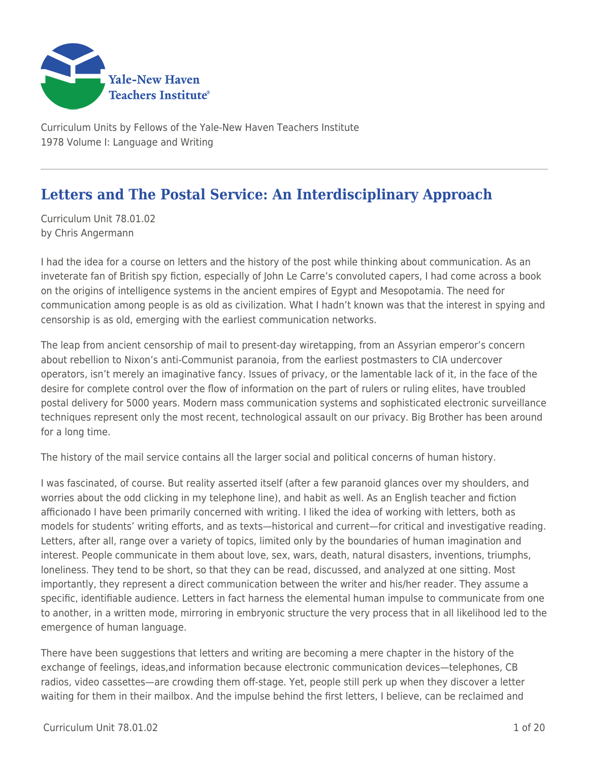

Curriculum Units by Fellows of the Yale-New Haven Teachers Institute 1978 Volume I: Language and Writing

# **Letters and The Postal Service: An Interdisciplinary Approach**

Curriculum Unit 78.01.02 by Chris Angermann

I had the idea for a course on letters and the history of the post while thinking about communication. As an inveterate fan of British spy fiction, especially of John Le Carre's convoluted capers, I had come across a book on the origins of intelligence systems in the ancient empires of Egypt and Mesopotamia. The need for communication among people is as old as civilization. What I hadn't known was that the interest in spying and censorship is as old, emerging with the earliest communication networks.

The leap from ancient censorship of mail to present-day wiretapping, from an Assyrian emperor's concern about rebellion to Nixon's anti-Communist paranoia, from the earliest postmasters to CIA undercover operators, isn't merely an imaginative fancy. Issues of privacy, or the lamentable lack of it, in the face of the desire for complete control over the flow of information on the part of rulers or ruling elites, have troubled postal delivery for 5000 years. Modern mass communication systems and sophisticated electronic surveillance techniques represent only the most recent, technological assault on our privacy. Big Brother has been around for a long time.

The history of the mail service contains all the larger social and political concerns of human history.

I was fascinated, of course. But reality asserted itself (after a few paranoid glances over my shoulders, and worries about the odd clicking in my telephone line), and habit as well. As an English teacher and fiction afficionado I have been primarily concerned with writing. I liked the idea of working with letters, both as models for students' writing efforts, and as texts—historical and current—for critical and investigative reading. Letters, after all, range over a variety of topics, limited only by the boundaries of human imagination and interest. People communicate in them about love, sex, wars, death, natural disasters, inventions, triumphs, loneliness. They tend to be short, so that they can be read, discussed, and analyzed at one sitting. Most importantly, they represent a direct communication between the writer and his/her reader. They assume a specific, identifiable audience. Letters in fact harness the elemental human impulse to communicate from one to another, in a written mode, mirroring in embryonic structure the very process that in all likelihood led to the emergence of human language.

There have been suggestions that letters and writing are becoming a mere chapter in the history of the exchange of feelings, ideas,and information because electronic communication devices—telephones, CB radios, video cassettes—are crowding them off-stage. Yet, people still perk up when they discover a letter waiting for them in their mailbox. And the impulse behind the first letters, I believe, can be reclaimed and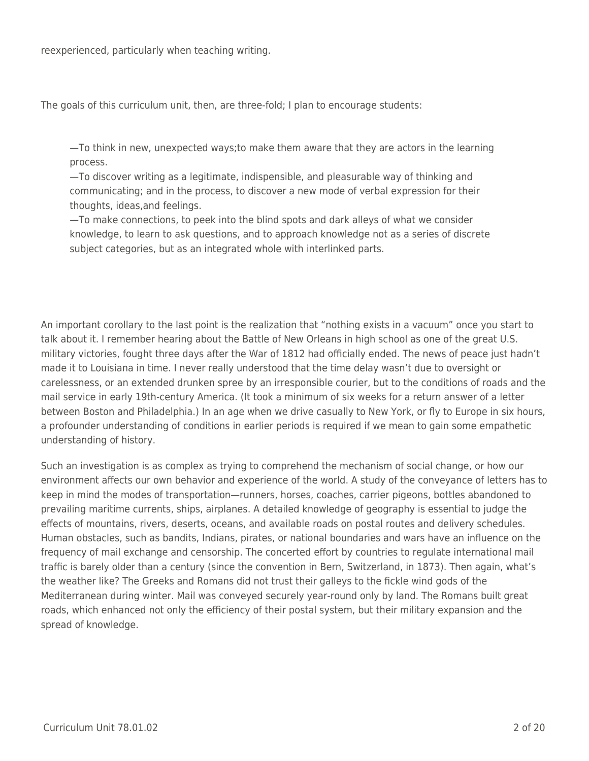reexperienced, particularly when teaching writing.

The goals of this curriculum unit, then, are three-fold; I plan to encourage students:

—To think in new, unexpected ways;to make them aware that they are actors in the learning process.

—To discover writing as a legitimate, indispensible, and pleasurable way of thinking and communicating; and in the process, to discover a new mode of verbal expression for their thoughts, ideas,and feelings.

—To make connections, to peek into the blind spots and dark alleys of what we consider knowledge, to learn to ask questions, and to approach knowledge not as a series of discrete subject categories, but as an integrated whole with interlinked parts.

An important corollary to the last point is the realization that "nothing exists in a vacuum" once you start to talk about it. I remember hearing about the Battle of New Orleans in high school as one of the great U.S. military victories, fought three days after the War of 1812 had officially ended. The news of peace just hadn't made it to Louisiana in time. I never really understood that the time delay wasn't due to oversight or carelessness, or an extended drunken spree by an irresponsible courier, but to the conditions of roads and the mail service in early 19th-century America. (It took a minimum of six weeks for a return answer of a letter between Boston and Philadelphia.) In an age when we drive casually to New York, or fly to Europe in six hours, a profounder understanding of conditions in earlier periods is required if we mean to gain some empathetic understanding of history.

Such an investigation is as complex as trying to comprehend the mechanism of social change, or how our environment affects our own behavior and experience of the world. A study of the conveyance of letters has to keep in mind the modes of transportation—runners, horses, coaches, carrier pigeons, bottles abandoned to prevailing maritime currents, ships, airplanes. A detailed knowledge of geography is essential to judge the effects of mountains, rivers, deserts, oceans, and available roads on postal routes and delivery schedules. Human obstacles, such as bandits, Indians, pirates, or national boundaries and wars have an influence on the frequency of mail exchange and censorship. The concerted effort by countries to regulate international mail traffic is barely older than a century (since the convention in Bern, Switzerland, in 1873). Then again, what's the weather like? The Greeks and Romans did not trust their galleys to the fickle wind gods of the Mediterranean during winter. Mail was conveyed securely year-round only by land. The Romans built great roads, which enhanced not only the efficiency of their postal system, but their military expansion and the spread of knowledge.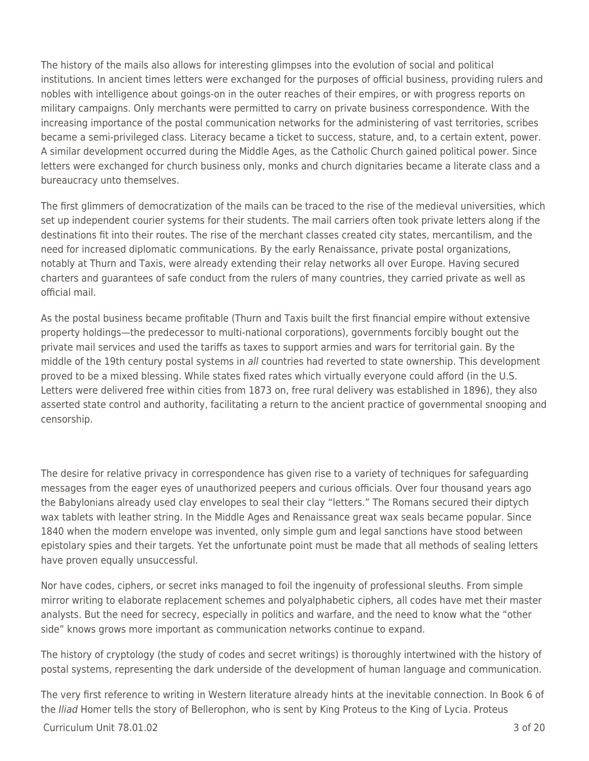The history of the mails also allows for interesting glimpses into the evolution of social and political institutions. In ancient times letters were exchanged for the purposes of official business, providing rulers and nobles with intelligence about goings-on in the outer reaches of their empires, or with progress reports on military campaigns. Only merchants were permitted to carry on private business correspondence. With the increasing importance of the postal communication networks for the administering of vast territories, scribes became a semi-privileged class. Literacy became a ticket to success, stature, and, to a certain extent, power. A similar development occurred during the Middle Ages, as the Catholic Church gained political power. Since letters were exchanged for church business only, monks and church dignitaries became a literate class and a bureaucracy unto themselves.

The first glimmers of democratization of the mails can be traced to the rise of the medieval universities, which set up independent courier systems for their students. The mail carriers often took private letters along if the destinations fit into their routes. The rise of the merchant classes created city states, mercantilism, and the need for increased diplomatic communications. By the early Renaissance, private postal organizations, notably at Thurn and Taxis, were already extending their relay networks all over Europe. Having secured charters and guarantees of safe conduct from the rulers of many countries, they carried private as well as official mail.

As the postal business became profitable (Thurn and Taxis built the first financial empire without extensive property holdings—the predecessor to multi-national corporations), governments forcibly bought out the private mail services and used the tariffs as taxes to support armies and wars for territorial gain. By the middle of the 19th century postal systems in all countries had reverted to state ownership. This development proved to be a mixed blessing. While states fixed rates which virtually everyone could afford (in the U.S. Letters were delivered free within cities from 1873 on, free rural delivery was established in 1896), they also asserted state control and authority, facilitating a return to the ancient practice of governmental snooping and censorship.

The desire for relative privacy in correspondence has given rise to a variety of techniques for safeguarding messages from the eager eyes of unauthorized peepers and curious officials. Over four thousand years ago the Babylonians already used clay envelopes to seal their clay "letters." The Romans secured their diptych wax tablets with leather string. In the Middle Ages and Renaissance great wax seals became popular. Since 1840 when the modern envelope was invented, only simple gum and legal sanctions have stood between epistolary spies and their targets. Yet the unfortunate point must be made that all methods of sealing letters have proven equally unsuccessful.

Nor have codes, ciphers, or secret inks managed to foil the ingenuity of professional sleuths. From simple mirror writing to elaborate replacement schemes and polyalphabetic ciphers, all codes have met their master analysts. But the need for secrecy, especially in politics and warfare, and the need to know what the "other side" knows grows more important as communication networks continue to expand.

The history of cryptology (the study of codes and secret writings) is thoroughly intertwined with the history of postal systems, representing the dark underside of the development of human language and communication.

The very first reference to writing in Western literature already hints at the inevitable connection. In Book 6 of the *Iliad* Homer tells the story of Bellerophon, who is sent by King Proteus to the King of Lycia. Proteus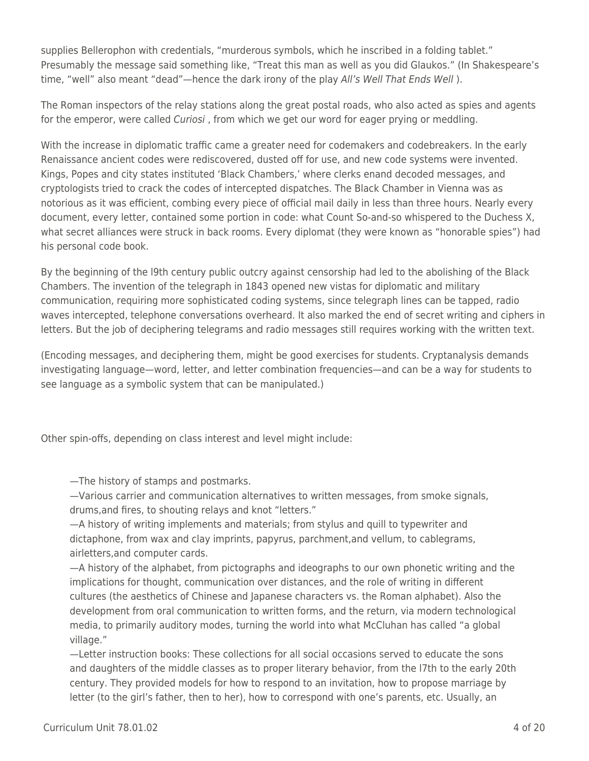supplies Bellerophon with credentials, "murderous symbols, which he inscribed in a folding tablet." Presumably the message said something like, "Treat this man as well as you did Glaukos." (In Shakespeare's time, "well" also meant "dead"—hence the dark irony of the play All's Well That Ends Well).

The Roman inspectors of the relay stations along the great postal roads, who also acted as spies and agents for the emperor, were called Curiosi, from which we get our word for eager prying or meddling.

With the increase in diplomatic traffic came a greater need for codemakers and codebreakers. In the early Renaissance ancient codes were rediscovered, dusted off for use, and new code systems were invented. Kings, Popes and city states instituted 'Black Chambers,' where clerks enand decoded messages, and cryptologists tried to crack the codes of intercepted dispatches. The Black Chamber in Vienna was as notorious as it was efficient, combing every piece of official mail daily in less than three hours. Nearly every document, every letter, contained some portion in code: what Count So-and-so whispered to the Duchess X, what secret alliances were struck in back rooms. Every diplomat (they were known as "honorable spies") had his personal code book.

By the beginning of the l9th century public outcry against censorship had led to the abolishing of the Black Chambers. The invention of the telegraph in 1843 opened new vistas for diplomatic and military communication, requiring more sophisticated coding systems, since telegraph lines can be tapped, radio waves intercepted, telephone conversations overheard. It also marked the end of secret writing and ciphers in letters. But the job of deciphering telegrams and radio messages still requires working with the written text.

(Encoding messages, and deciphering them, might be good exercises for students. Cryptanalysis demands investigating language—word, letter, and letter combination frequencies—and can be a way for students to see language as a symbolic system that can be manipulated.)

Other spin-offs, depending on class interest and level might include:

—The history of stamps and postmarks.

—Various carrier and communication alternatives to written messages, from smoke signals, drums,and fires, to shouting relays and knot "letters."

—A history of writing implements and materials; from stylus and quill to typewriter and dictaphone, from wax and clay imprints, papyrus, parchment,and vellum, to cablegrams, airletters,and computer cards.

—A history of the alphabet, from pictographs and ideographs to our own phonetic writing and the implications for thought, communication over distances, and the role of writing in different cultures (the aesthetics of Chinese and Japanese characters vs. the Roman alphabet). Also the development from oral communication to written forms, and the return, via modern technological media, to primarily auditory modes, turning the world into what McCluhan has called "a global village."

—Letter instruction books: These collections for all social occasions served to educate the sons and daughters of the middle classes as to proper literary behavior, from the l7th to the early 20th century. They provided models for how to respond to an invitation, how to propose marriage by letter (to the girl's father, then to her), how to correspond with one's parents, etc. Usually, an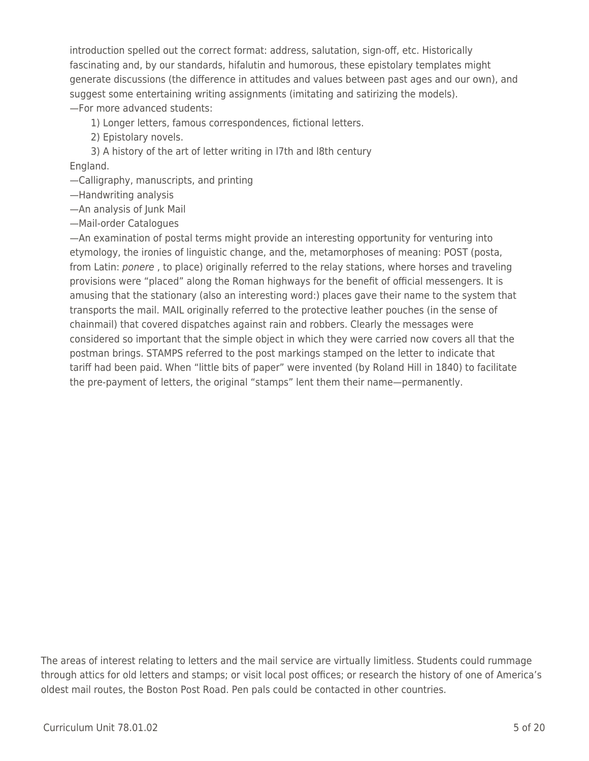introduction spelled out the correct format: address, salutation, sign-off, etc. Historically fascinating and, by our standards, hifalutin and humorous, these epistolary templates might generate discussions (the difference in attitudes and values between past ages and our own), and suggest some entertaining writing assignments (imitating and satirizing the models). —For more advanced students:

1) Longer letters, famous correspondences, fictional letters.

2) Epistolary novels.

\_\_\_\_ 3) A history of the art of letter writing in l7th and l8th century England.

—Calligraphy, manuscripts, and printing

—Handwriting analysis

—An analysis of Junk Mail

—Mail-order Catalogues

—An examination of postal terms might provide an interesting opportunity for venturing into etymology, the ironies of linguistic change, and the, metamorphoses of meaning: POST (posta, from Latin: ponere, to place) originally referred to the relay stations, where horses and traveling provisions were "placed" along the Roman highways for the benefit of official messengers. It is amusing that the stationary (also an interesting word:) places gave their name to the system that transports the mail. MAIL originally referred to the protective leather pouches (in the sense of chainmail) that covered dispatches against rain and robbers. Clearly the messages were considered so important that the simple object in which they were carried now covers all that the postman brings. STAMPS referred to the post markings stamped on the letter to indicate that tariff had been paid. When "little bits of paper" were invented (by Roland Hill in 1840) to facilitate the pre-payment of letters, the original "stamps" lent them their name—permanently.

The areas of interest relating to letters and the mail service are virtually limitless. Students could rummage through attics for old letters and stamps; or visit local post offices; or research the history of one of America's oldest mail routes, the Boston Post Road. Pen pals could be contacted in other countries.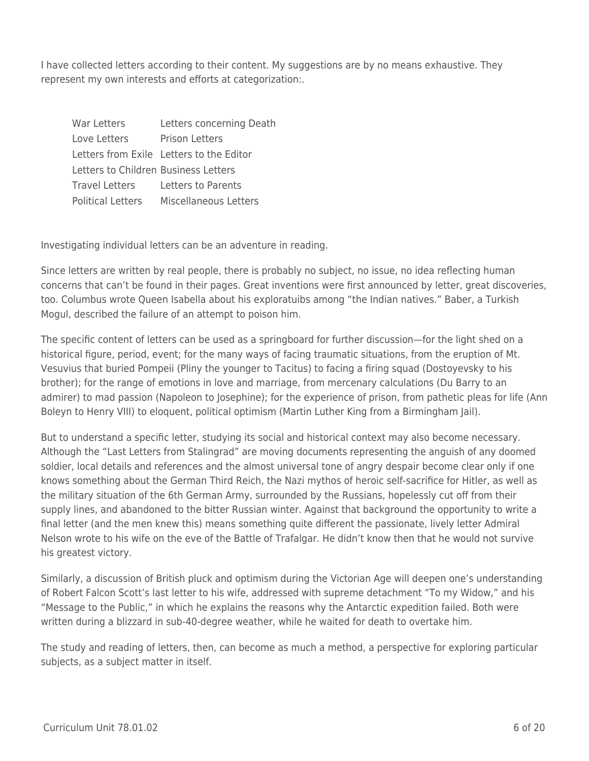I have collected letters according to their content. My suggestions are by no means exhaustive. They represent my own interests and efforts at categorization:.

| War Letters                          | Letters concerning Death                 |
|--------------------------------------|------------------------------------------|
| Love Letters                         | Prison Letters                           |
|                                      | Letters from Exile Letters to the Editor |
| Letters to Children Business Letters |                                          |
| <b>Travel Letters</b>                | Letters to Parents                       |
| <b>Political Letters</b>             | Miscellaneous Letters                    |

Investigating individual letters can be an adventure in reading.

Since letters are written by real people, there is probably no subject, no issue, no idea reflecting human concerns that can't be found in their pages. Great inventions were first announced by letter, great discoveries, too. Columbus wrote Queen Isabella about his exploratuibs among "the Indian natives." Baber, a Turkish Mogul, described the failure of an attempt to poison him.

The specific content of letters can be used as a springboard for further discussion—for the light shed on a historical figure, period, event; for the many ways of facing traumatic situations, from the eruption of Mt. Vesuvius that buried Pompeii (Pliny the younger to Tacitus) to facing a firing squad (Dostoyevsky to his brother); for the range of emotions in love and marriage, from mercenary calculations (Du Barry to an admirer) to mad passion (Napoleon to Josephine); for the experience of prison, from pathetic pleas for life (Ann Boleyn to Henry VIII) to eloquent, political optimism (Martin Luther King from a Birmingham Jail).

But to understand a specific letter, studying its social and historical context may also become necessary. Although the "Last Letters from Stalingrad" are moving documents representing the anguish of any doomed soldier, local details and references and the almost universal tone of angry despair become clear only if one knows something about the German Third Reich, the Nazi mythos of heroic self-sacrifice for Hitler, as well as the military situation of the 6th German Army, surrounded by the Russians, hopelessly cut off from their supply lines, and abandoned to the bitter Russian winter. Against that background the opportunity to write a final letter (and the men knew this) means something quite different the passionate, lively letter Admiral Nelson wrote to his wife on the eve of the Battle of Trafalgar. He didn't know then that he would not survive his greatest victory.

Similarly, a discussion of British pluck and optimism during the Victorian Age will deepen one's understanding of Robert Falcon Scott's last letter to his wife, addressed with supreme detachment "To my Widow," and his "Message to the Public," in which he explains the reasons why the Antarctic expedition failed. Both were written during a blizzard in sub-40-degree weather, while he waited for death to overtake him.

The study and reading of letters, then, can become as much a method, a perspective for exploring particular subjects, as a subject matter in itself.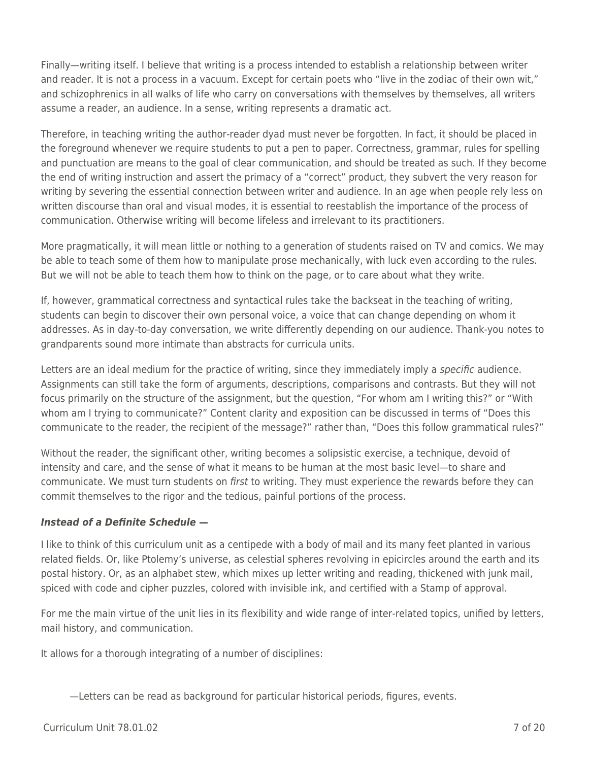Finally—writing itself. I believe that writing is a process intended to establish a relationship between writer and reader. It is not a process in a vacuum. Except for certain poets who "live in the zodiac of their own wit," and schizophrenics in all walks of life who carry on conversations with themselves by themselves, all writers assume a reader, an audience. In a sense, writing represents a dramatic act.

Therefore, in teaching writing the author-reader dyad must never be forgotten. In fact, it should be placed in the foreground whenever we require students to put a pen to paper. Correctness, grammar, rules for spelling and punctuation are means to the goal of clear communication, and should be treated as such. If they become the end of writing instruction and assert the primacy of a "correct" product, they subvert the very reason for writing by severing the essential connection between writer and audience. In an age when people rely less on written discourse than oral and visual modes, it is essential to reestablish the importance of the process of communication. Otherwise writing will become lifeless and irrelevant to its practitioners.

More pragmatically, it will mean little or nothing to a generation of students raised on TV and comics. We may be able to teach some of them how to manipulate prose mechanically, with luck even according to the rules. But we will not be able to teach them how to think on the page, or to care about what they write.

If, however, grammatical correctness and syntactical rules take the backseat in the teaching of writing, students can begin to discover their own personal voice, a voice that can change depending on whom it addresses. As in day-to-day conversation, we write differently depending on our audience. Thank-you notes to grandparents sound more intimate than abstracts for curricula units.

Letters are an ideal medium for the practice of writing, since they immediately imply a *specific* audience. Assignments can still take the form of arguments, descriptions, comparisons and contrasts. But they will not focus primarily on the structure of the assignment, but the question, "For whom am I writing this?" or "With whom am I trying to communicate?" Content clarity and exposition can be discussed in terms of "Does this communicate to the reader, the recipient of the message?" rather than, "Does this follow grammatical rules?"

Without the reader, the significant other, writing becomes a solipsistic exercise, a technique, devoid of intensity and care, and the sense of what it means to be human at the most basic level—to share and communicate. We must turn students on first to writing. They must experience the rewards before they can commit themselves to the rigor and the tedious, painful portions of the process.

## *Instead of a Definite Schedule* **—**

I like to think of this curriculum unit as a centipede with a body of mail and its many feet planted in various related fields. Or, like Ptolemy's universe, as celestial spheres revolving in epicircles around the earth and its postal history. Or, as an alphabet stew, which mixes up letter writing and reading, thickened with junk mail, spiced with code and cipher puzzles, colored with invisible ink, and certified with a Stamp of approval.

For me the main virtue of the unit lies in its flexibility and wide range of inter-related topics, unified by letters, mail history, and communication.

It allows for a thorough integrating of a number of disciplines:

—Letters can be read as background for particular historical periods, figures, events.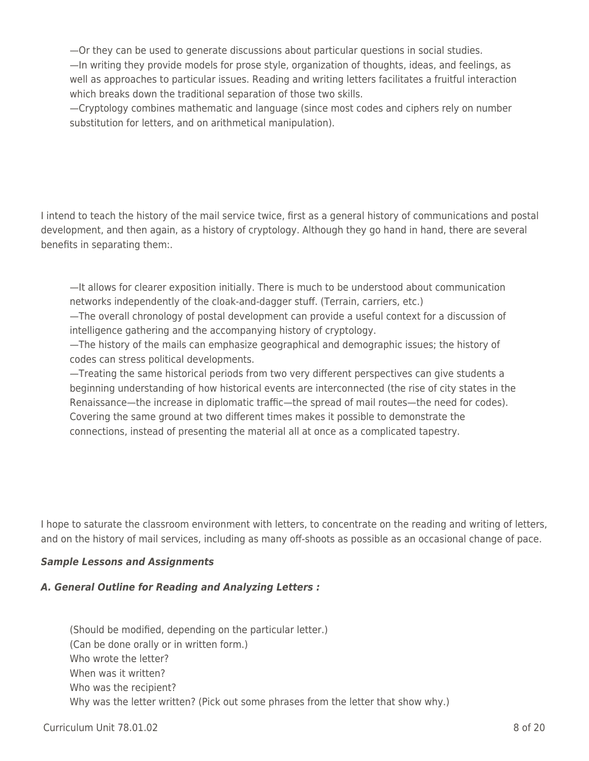—Or they can be used to generate discussions about particular questions in social studies. —In writing they provide models for prose style, organization of thoughts, ideas, and feelings, as well as approaches to particular issues. Reading and writing letters facilitates a fruitful interaction which breaks down the traditional separation of those two skills.

—Cryptology combines mathematic and language (since most codes and ciphers rely on number substitution for letters, and on arithmetical manipulation).

I intend to teach the history of the mail service twice, first as a general history of communications and postal development, and then again, as a history of cryptology. Although they go hand in hand, there are several benefits in separating them:.

—It allows for clearer exposition initially. There is much to be understood about communication networks independently of the cloak-and-dagger stuff. (Terrain, carriers, etc.)

—The overall chronology of postal development can provide a useful context for a discussion of intelligence gathering and the accompanying history of cryptology.

—The history of the mails can emphasize geographical and demographic issues; the history of codes can stress political developments.

—Treating the same historical periods from two very different perspectives can give students a beginning understanding of how historical events are interconnected (the rise of city states in the Renaissance—the increase in diplomatic traffic—the spread of mail routes—the need for codes). Covering the same ground at two different times makes it possible to demonstrate the connections, instead of presenting the material all at once as a complicated tapestry.

I hope to saturate the classroom environment with letters, to concentrate on the reading and writing of letters, and on the history of mail services, including as many off-shoots as possible as an occasional change of pace.

#### *Sample Lessons and Assignments*

#### *A. General Outline for Reading and Analyzing Letters :*

(Should be modified, depending on the particular letter.) (Can be done orally or in written form.) Who wrote the letter? When was it written? Who was the recipient? Why was the letter written? (Pick out some phrases from the letter that show why.)

#### $C$ urriculum Unit 78.01.02  $\qquad \qquad$  8 of 20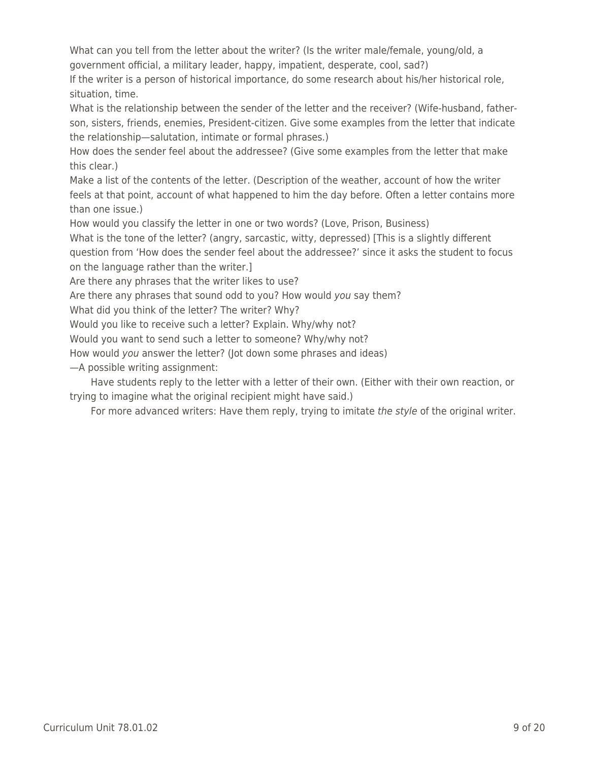What can you tell from the letter about the writer? (Is the writer male/female, young/old, a government official, a military leader, happy, impatient, desperate, cool, sad?)

If the writer is a person of historical importance, do some research about his/her historical role, situation, time.

What is the relationship between the sender of the letter and the receiver? (Wife-husband, fatherson, sisters, friends, enemies, President-citizen. Give some examples from the letter that indicate the relationship—salutation, intimate or formal phrases.)

How does the sender feel about the addressee? (Give some examples from the letter that make this clear.)

Make a list of the contents of the letter. (Description of the weather, account of how the writer feels at that point, account of what happened to him the day before. Often a letter contains more than one issue.)

How would you classify the letter in one or two words? (Love, Prison, Business)

What is the tone of the letter? (angry, sarcastic, witty, depressed) [This is a slightly different question from 'How does the sender feel about the addressee?' since it asks the student to focus on the language rather than the writer.]

Are there any phrases that the writer likes to use?

Are there any phrases that sound odd to you? How would you say them?

What did you think of the letter? The writer? Why?

Would you like to receive such a letter? Explain. Why/why not?

Would you want to send such a letter to someone? Why/why not?

How would you answer the letter? (Jot down some phrases and ideas)

—A possible writing assignment:

Have students reply to the letter with a letter of their own. (Either with their own reaction, or trying to imagine what the original recipient might have said.)

For more advanced writers: Have them reply, trying to imitate the style of the original writer.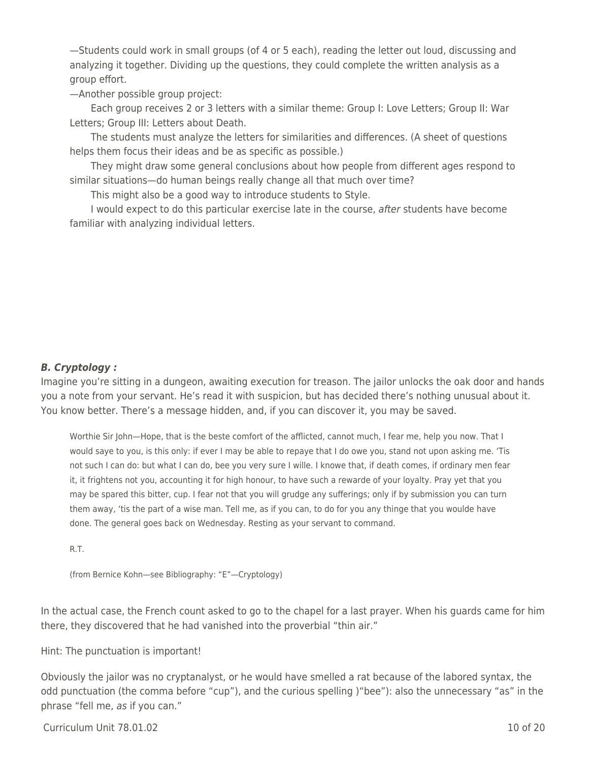—Students could work in small groups (of 4 or 5 each), reading the letter out loud, discussing and analyzing it together. Dividing up the questions, they could complete the written analysis as a group effort.

—Another possible group project:

Each group receives 2 or 3 letters with a similar theme: Group I: Love Letters; Group II: War Letters; Group III: Letters about Death.

The students must analyze the letters for similarities and differences. (A sheet of questions helps them focus their ideas and be as specific as possible.)

They might draw some general conclusions about how people from different ages respond to similar situations—do human beings really change all that much over time?

This might also be a good way to introduce students to Style.

I would expect to do this particular exercise late in the course, after students have become familiar with analyzing individual letters.

#### *B. Cryptology :*

Imagine you're sitting in a dungeon, awaiting execution for treason. The jailor unlocks the oak door and hands you a note from your servant. He's read it with suspicion, but has decided there's nothing unusual about it. You know better. There's a message hidden, and, if you can discover it, you may be saved.

Worthie Sir John—Hope, that is the beste comfort of the afflicted, cannot much, I fear me, help you now. That I would saye to you, is this only: if ever I may be able to repaye that I do owe you, stand not upon asking me. 'Tis not such I can do: but what I can do, bee you very sure I wille. I knowe that, if death comes, if ordinary men fear it, it frightens not you, accounting it for high honour, to have such a rewarde of your loyalty. Pray yet that you may be spared this bitter, cup. I fear not that you will grudge any sufferings; only if by submission you can turn them away, 'tis the part of a wise man. Tell me, as if you can, to do for you any thinge that you woulde have done. The general goes back on Wednesday. Resting as your servant to command.

R.T.

(from Bernice Kohn—see Bibliography: "E"—Cryptology)

In the actual case, the French count asked to go to the chapel for a last prayer. When his guards came for him there, they discovered that he had vanished into the proverbial "thin air."

#### Hint: The punctuation is important!

Obviously the jailor was no cryptanalyst, or he would have smelled a rat because of the labored syntax, the odd punctuation (the comma before "cup"), and the curious spelling )"bee"): also the unnecessary "as" in the phrase "fell me, as if you can."

#### Curriculum Unit 78.01.02 10 of 20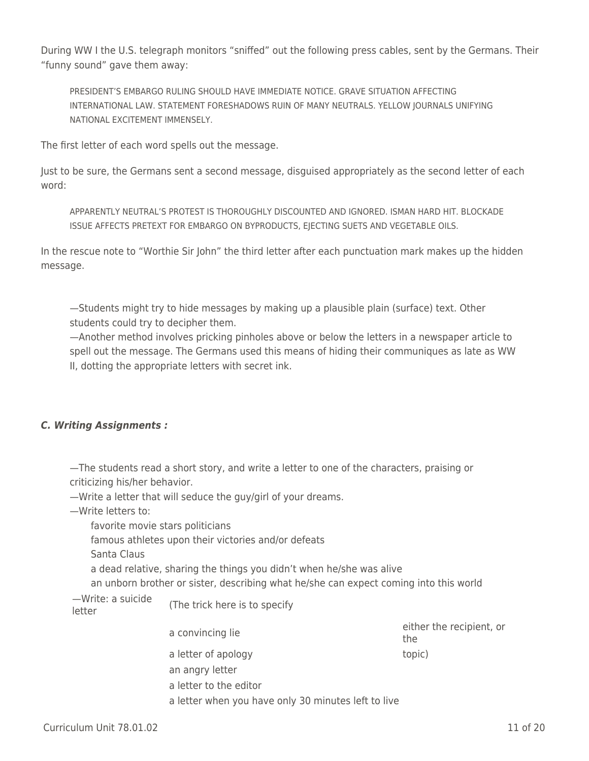During WW I the U.S. telegraph monitors "sniffed" out the following press cables, sent by the Germans. Their "funny sound" gave them away:

PRESIDENT'S EMBARGO RULING SHOULD HAVE IMMEDIATE NOTICE. GRAVE SITUATION AFFECTING INTERNATIONAL LAW. STATEMENT FORESHADOWS RUIN OF MANY NEUTRALS. YELLOW JOURNALS UNIFYING NATIONAL EXCITEMENT IMMENSELY.

The first letter of each word spells out the message.

Just to be sure, the Germans sent a second message, disguised appropriately as the second letter of each word:

APPARENTLY NEUTRAL'S PROTEST IS THOROUGHLY DISCOUNTED AND IGNORED. ISMAN HARD HIT. BLOCKADE ISSUE AFFECTS PRETEXT FOR EMBARGO ON BYPRODUCTS, EJECTING SUETS AND VEGETABLE OILS.

In the rescue note to "Worthie Sir John" the third letter after each punctuation mark makes up the hidden message.

—Students might try to hide messages by making up a plausible plain (surface) text. Other students could try to decipher them.

—Another method involves pricking pinholes above or below the letters in a newspaper article to spell out the message. The Germans used this means of hiding their communiques as late as WW II, dotting the appropriate letters with secret ink.

## *C. Writing Assignments :*

—The students read a short story, and write a letter to one of the characters, praising or criticizing his/her behavior.

—Write a letter that will seduce the guy/girl of your dreams.

—Write letters to:

favorite movie stars politicians

famous athletes upon their victories and/or defeats

Santa Claus

a dead relative, sharing the things you didn't when he/she was alive

an unborn brother or sister, describing what he/she can expect coming into this world

a letter when you have only 30 minutes left to live

—Write: a suicide

—write: a suiclue (The trick here is to specify<br>letter

an angry letter

a letter to the editor

a convincing lie either the recipient, or the a letter of apology topic)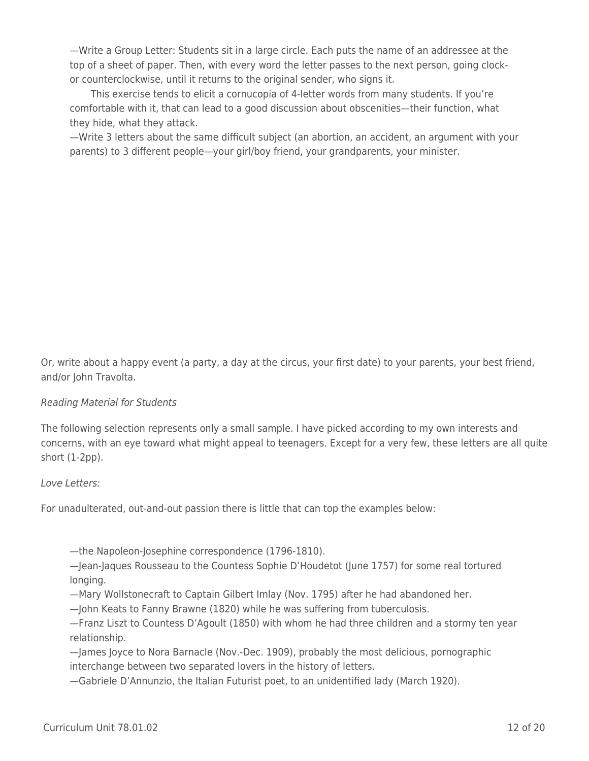—Write a Group Letter: Students sit in a large circle. Each puts the name of an addressee at the top of a sheet of paper. Then, with every word the letter passes to the next person, going clockor counterclockwise, until it returns to the original sender, who signs it.

This exercise tends to elicit a cornucopia of 4-letter words from many students. If you're comfortable with it, that can lead to a good discussion about obscenities—their function, what they hide, what they attack.

—Write 3 letters about the same difficult subject (an abortion, an accident, an argument with your parents) to 3 different people—your girl/boy friend, your grandparents, your minister.

Or, write about a happy event (a party, a day at the circus, your first date) to your parents, your best friend, and/or John Travolta.

## Reading Material for Students

The following selection represents only a small sample. I have picked according to my own interests and concerns, with an eye toward what might appeal to teenagers. Except for a very few, these letters are all quite short (1-2pp).

#### Love Letters:

For unadulterated, out-and-out passion there is little that can top the examples below:

—the Napoleon-Josephine correspondence (1796-1810).

—Jean-Jaques Rousseau to the Countess Sophie D'Houdetot (June 1757) for some real tortured longing.

—Mary Wollstonecraft to Captain Gilbert Imlay (Nov. 1795) after he had abandoned her.

—John Keats to Fanny Brawne (1820) while he was suffering from tuberculosis.

—Franz Liszt to Countess D'Agoult (1850) with whom he had three children and a stormy ten year relationship.

—James Joyce to Nora Barnacle (Nov.-Dec. 1909), probably the most delicious, pornographic interchange between two separated lovers in the history of letters.

—Gabriele D'Annunzio, the Italian Futurist poet, to an unidentified lady (March 1920).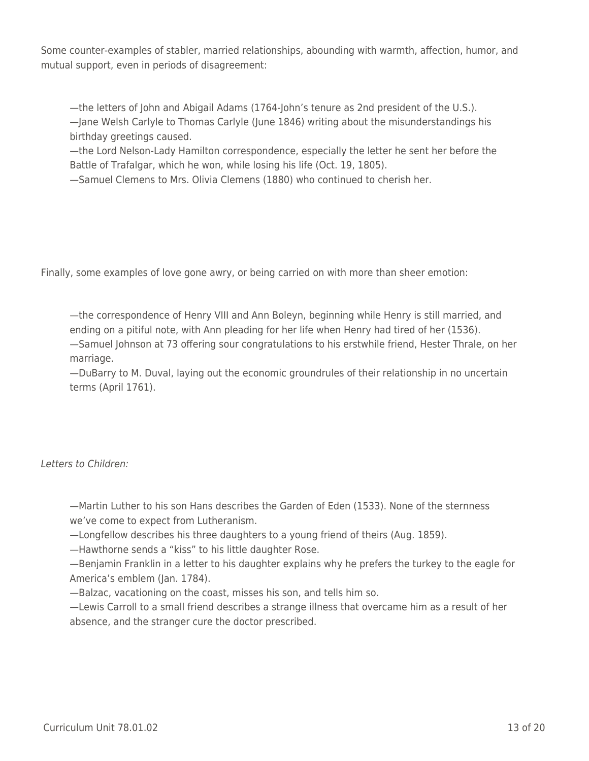Some counter-examples of stabler, married relationships, abounding with warmth, affection, humor, and mutual support, even in periods of disagreement:

—the letters of John and Abigail Adams (1764-John's tenure as 2nd president of the U.S.). —Jane Welsh Carlyle to Thomas Carlyle (June 1846) writing about the misunderstandings his birthday greetings caused.

—the Lord Nelson-Lady Hamilton correspondence, especially the letter he sent her before the Battle of Trafalgar, which he won, while losing his life (Oct. 19, 1805).

—Samuel Clemens to Mrs. Olivia Clemens (1880) who continued to cherish her.

Finally, some examples of love gone awry, or being carried on with more than sheer emotion:

—the correspondence of Henry VIII and Ann Boleyn, beginning while Henry is still married, and ending on a pitiful note, with Ann pleading for her life when Henry had tired of her (1536). —Samuel Johnson at 73 offering sour congratulations to his erstwhile friend, Hester Thrale, on her marriage.

—DuBarry to M. Duval, laying out the economic groundrules of their relationship in no uncertain terms (April 1761).

## Letters to Children:

—Martin Luther to his son Hans describes the Garden of Eden (1533). None of the sternness we've come to expect from Lutheranism.

—Longfellow describes his three daughters to a young friend of theirs (Aug. 1859).

—Hawthorne sends a "kiss" to his little daughter Rose.

—Benjamin Franklin in a letter to his daughter explains why he prefers the turkey to the eagle for America's emblem (Jan. 1784).

—Balzac, vacationing on the coast, misses his son, and tells him so.

—Lewis Carroll to a small friend describes a strange illness that overcame him as a result of her absence, and the stranger cure the doctor prescribed.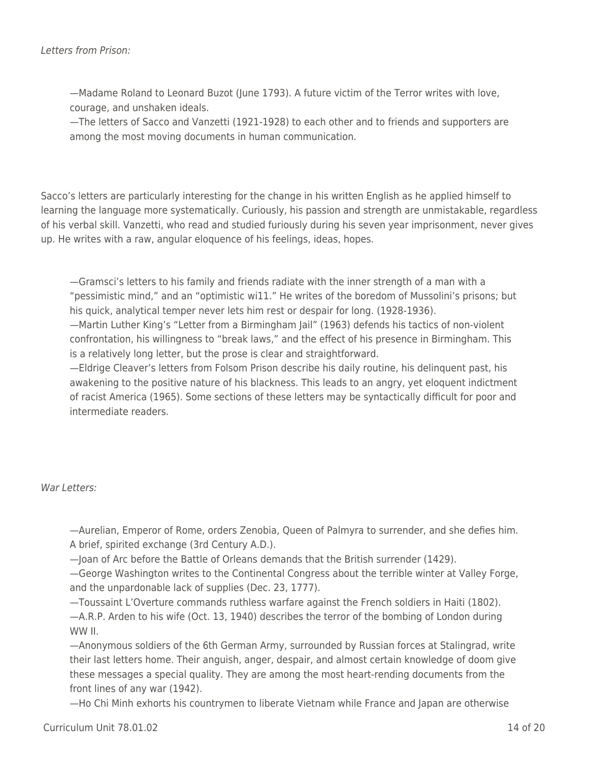—Madame Roland to Leonard Buzot (June 1793). A future victim of the Terror writes with love, courage, and unshaken ideals.

—The letters of Sacco and Vanzetti (1921-1928) to each other and to friends and supporters are among the most moving documents in human communication.

Sacco's letters are particularly interesting for the change in his written English as he applied himself to learning the language more systematically. Curiously, his passion and strength are unmistakable, regardless of his verbal skill. Vanzetti, who read and studied furiously during his seven year imprisonment, never gives up. He writes with a raw, angular eloquence of his feelings, ideas, hopes.

—Gramsci's letters to his family and friends radiate with the inner strength of a man with a "pessimistic mind," and an "optimistic wi11." He writes of the boredom of Mussolini's prisons; but his quick, analytical temper never lets him rest or despair for long. (1928-1936).

—Martin Luther King's "Letter from a Birmingham Jail" (1963) defends his tactics of non-violent confrontation, his willingness to "break laws," and the effect of his presence in Birmingham. This is a relatively long letter, but the prose is clear and straightforward.

—Eldrige Cleaver's letters from Folsom Prison describe his daily routine, his delinquent past, his awakening to the positive nature of his blackness. This leads to an angry, yet eloquent indictment of racist America (1965). Some sections of these letters may be syntactically difficult for poor and intermediate readers.

## War Letters:

—Aurelian, Emperor of Rome, orders Zenobia, Queen of Palmyra to surrender, and she defies him. A brief, spirited exchange (3rd Century A.D.).

—Joan of Arc before the Battle of Orleans demands that the British surrender (1429).

—George Washington writes to the Continental Congress about the terrible winter at Valley Forge, and the unpardonable lack of supplies (Dec. 23, 1777).

—Toussaint L'Overture commands ruthless warfare against the French soldiers in Haiti (1802). —A.R.P. Arden to his wife (Oct. 13, 1940) describes the terror of the bombing of London during WW II.

—Anonymous soldiers of the 6th German Army, surrounded by Russian forces at Stalingrad, write their last letters home. Their anguish, anger, despair, and almost certain knowledge of doom give these messages a special quality. They are among the most heart-rending documents from the front lines of any war (1942).

—Ho Chi Minh exhorts his countrymen to liberate Vietnam while France and Japan are otherwise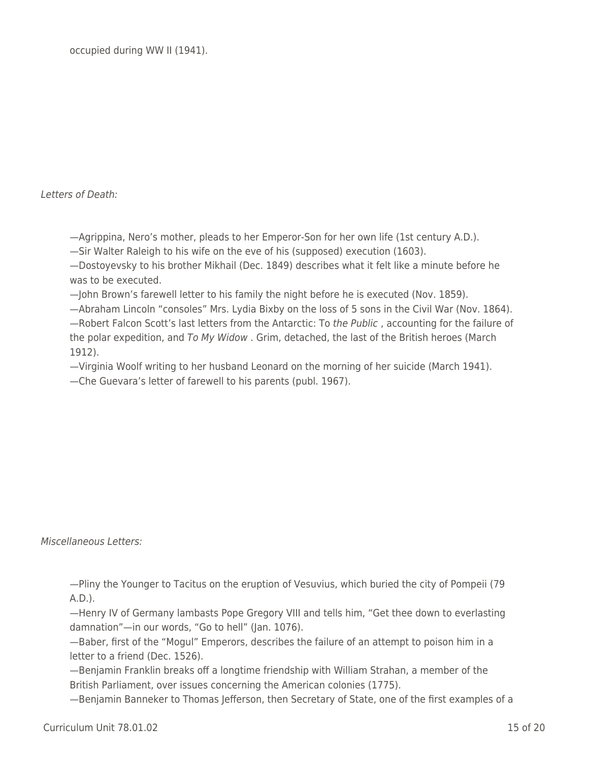occupied during WW II (1941).

Letters of Death:

—Agrippina, Nero's mother, pleads to her Emperor-Son for her own life (1st century A.D.).

—Sir Walter Raleigh to his wife on the eve of his (supposed) execution (1603).

—Dostoyevsky to his brother Mikhail (Dec. 1849) describes what it felt like a minute before he was to be executed.

—John Brown's farewell letter to his family the night before he is executed (Nov. 1859).

—Abraham Lincoln "consoles" Mrs. Lydia Bixby on the loss of 5 sons in the Civil War (Nov. 1864). —Robert Falcon Scott's last letters from the Antarctic: To the Public , accounting for the failure of the polar expedition, and To My Widow . Grim, detached, the last of the British heroes (March 1912).

—Virginia Woolf writing to her husband Leonard on the morning of her suicide (March 1941). —Che Guevara's letter of farewell to his parents (publ. 1967).

Miscellaneous Letters:

—Pliny the Younger to Tacitus on the eruption of Vesuvius, which buried the city of Pompeii (79 A.D.).

—Henry IV of Germany lambasts Pope Gregory VIII and tells him, "Get thee down to everlasting damnation"—in our words, "Go to hell" (Jan. 1076).

—Baber, first of the "Mogul" Emperors, describes the failure of an attempt to poison him in a letter to a friend (Dec. 1526).

—Benjamin Franklin breaks off a longtime friendship with William Strahan, a member of the British Parliament, over issues concerning the American colonies (1775).

—Benjamin Banneker to Thomas Jefferson, then Secretary of State, one of the first examples of a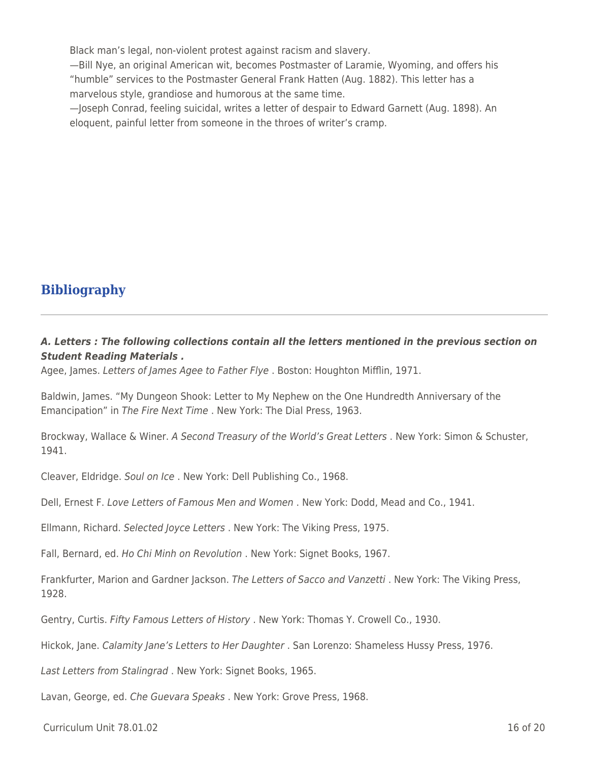Black man's legal, non-violent protest against racism and slavery.

—Bill Nye, an original American wit, becomes Postmaster of Laramie, Wyoming, and offers his "humble" services to the Postmaster General Frank Hatten (Aug. 1882). This letter has a marvelous style, grandiose and humorous at the same time.

—Joseph Conrad, feeling suicidal, writes a letter of despair to Edward Garnett (Aug. 1898). An eloquent, painful letter from someone in the throes of writer's cramp.

## **Bibliography**

## *A. Letters : The following collections contain all the letters mentioned in the previous section on Student Reading Materials .*

Agee, James. Letters of James Agee to Father Flye . Boston: Houghton Mifflin, 1971.

Baldwin, James. "My Dungeon Shook: Letter to My Nephew on the One Hundredth Anniversary of the Emancipation" in The Fire Next Time . New York: The Dial Press, 1963.

Brockway, Wallace & Winer. A Second Treasury of the World's Great Letters . New York: Simon & Schuster, 1941.

Cleaver, Eldridge. Soul on Ice . New York: Dell Publishing Co., 1968.

Dell, Ernest F. Love Letters of Famous Men and Women. New York: Dodd, Mead and Co., 1941.

Ellmann, Richard. Selected Joyce Letters . New York: The Viking Press, 1975.

Fall, Bernard, ed. Ho Chi Minh on Revolution . New York: Signet Books, 1967.

Frankfurter, Marion and Gardner Jackson. The Letters of Sacco and Vanzetti . New York: The Viking Press, 1928.

Gentry, Curtis. Fifty Famous Letters of History . New York: Thomas Y. Crowell Co., 1930.

Hickok, Jane. Calamity Jane's Letters to Her Daughter . San Lorenzo: Shameless Hussy Press, 1976.

Last Letters from Stalingrad . New York: Signet Books, 1965.

Lavan, George, ed. Che Guevara Speaks. New York: Grove Press, 1968.

Curriculum Unit 78.01.02 16 of 20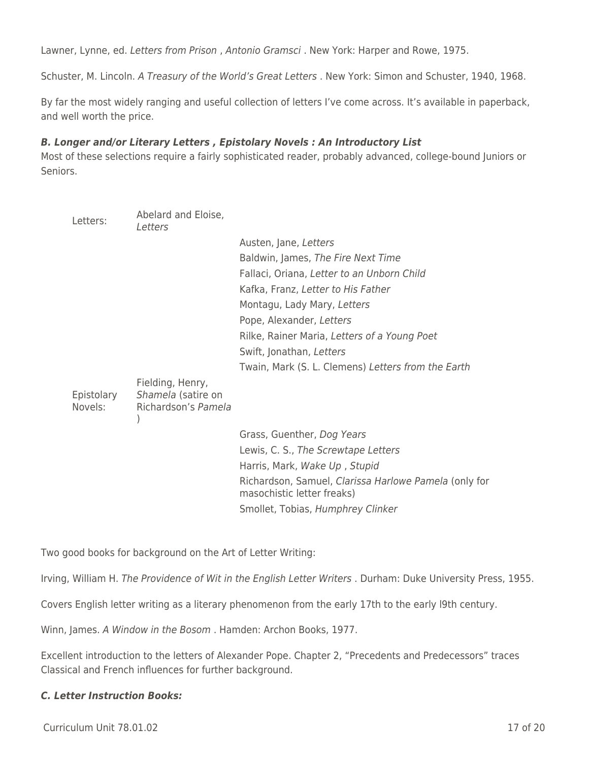Lawner, Lynne, ed. Letters from Prison , Antonio Gramsci . New York: Harper and Rowe, 1975.

Schuster, M. Lincoln. A Treasury of the World's Great Letters . New York: Simon and Schuster, 1940, 1968.

By far the most widely ranging and useful collection of letters I've come across. It's available in paperback, and well worth the price.

#### *B. Longer and/or Literary Letters , Epistolary Novels : An Introductory List*

Most of these selections require a fairly sophisticated reader, probably advanced, college-bound Juniors or Seniors.

| Letters:              | Abelard and Eloise,<br>Letters                                |                                                                                     |
|-----------------------|---------------------------------------------------------------|-------------------------------------------------------------------------------------|
|                       |                                                               | Austen, Jane, Letters                                                               |
|                       |                                                               | Baldwin, James, The Fire Next Time                                                  |
|                       |                                                               | Fallaci, Oriana, Letter to an Unborn Child                                          |
|                       |                                                               | Kafka, Franz, Letter to His Father                                                  |
|                       |                                                               | Montagu, Lady Mary, Letters                                                         |
|                       |                                                               | Pope, Alexander, Letters                                                            |
|                       |                                                               | Rilke, Rainer Maria, Letters of a Young Poet                                        |
|                       |                                                               | Swift, Jonathan, Letters                                                            |
|                       |                                                               | Twain, Mark (S. L. Clemens) Letters from the Earth                                  |
| Epistolary<br>Novels: | Fielding, Henry,<br>Shamela (satire on<br>Richardson's Pamela |                                                                                     |
|                       |                                                               | Grass, Guenther, Dog Years                                                          |
|                       |                                                               | Lewis, C. S., The Screwtape Letters                                                 |
|                       |                                                               | Harris, Mark, Wake Up, Stupid                                                       |
|                       |                                                               | Richardson, Samuel, Clarissa Harlowe Pamela (only for<br>masochistic letter freaks) |
|                       |                                                               | Smollet, Tobias, Humphrey Clinker                                                   |

Two good books for background on the Art of Letter Writing:

Irving, William H. The Providence of Wit in the English Letter Writers . Durham: Duke University Press, 1955.

Covers English letter writing as a literary phenomenon from the early 17th to the early l9th century.

Winn, James. A Window in the Bosom . Hamden: Archon Books, 1977.

Excellent introduction to the letters of Alexander Pope. Chapter 2, "Precedents and Predecessors" traces Classical and French influences for further background.

## *C. Letter Instruction Books:*

Curriculum Unit 78.01.02 17 of 20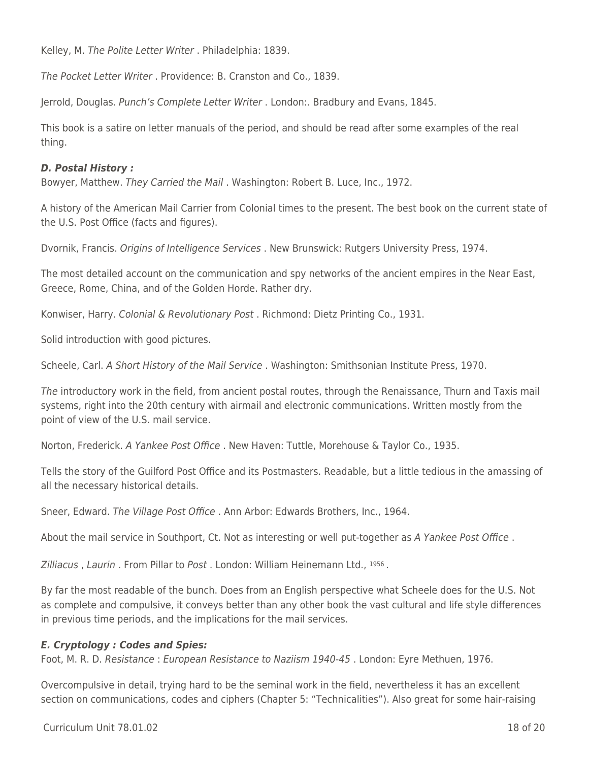Kelley, M. The Polite Letter Writer . Philadelphia: 1839.

The Pocket Letter Writer . Providence: B. Cranston and Co., 1839.

Jerrold, Douglas. Punch's Complete Letter Writer . London:. Bradbury and Evans, 1845.

This book is a satire on letter manuals of the period, and should be read after some examples of the real thing.

#### *D. Postal History :*

Bowyer, Matthew. They Carried the Mail . Washington: Robert B. Luce, Inc., 1972.

A history of the American Mail Carrier from Colonial times to the present. The best book on the current state of the U.S. Post Office (facts and figures).

Dvornik, Francis. Origins of Intelligence Services . New Brunswick: Rutgers University Press, 1974.

The most detailed account on the communication and spy networks of the ancient empires in the Near East, Greece, Rome, China, and of the Golden Horde. Rather dry.

Konwiser, Harry. Colonial & Revolutionary Post . Richmond: Dietz Printing Co., 1931.

Solid introduction with good pictures.

Scheele, Carl. A Short History of the Mail Service . Washington: Smithsonian Institute Press, 1970.

The introductory work in the field, from ancient postal routes, through the Renaissance, Thurn and Taxis mail systems, right into the 20th century with airmail and electronic communications. Written mostly from the point of view of the U.S. mail service.

Norton, Frederick. A Yankee Post Office . New Haven: Tuttle, Morehouse & Taylor Co., 1935.

Tells the story of the Guilford Post Office and its Postmasters. Readable, but a little tedious in the amassing of all the necessary historical details.

Sneer, Edward. The Village Post Office . Ann Arbor: Edwards Brothers, Inc., 1964.

About the mail service in Southport, Ct. Not as interesting or well put-together as A Yankee Post Office.

Zilliacus , Laurin . From Pillar to Post . London: William Heinemann Ltd., 1956 .

By far the most readable of the bunch. Does from an English perspective what Scheele does for the U.S. Not as complete and compulsive, it conveys better than any other book the vast cultural and life style differences in previous time periods, and the implications for the mail services.

#### *E. Cryptology : Codes and Spies:*

Foot, M. R. D. Resistance : European Resistance to Naziism 1940-45 . London: Eyre Methuen, 1976.

Overcompulsive in detail, trying hard to be the seminal work in the field, nevertheless it has an excellent section on communications, codes and ciphers (Chapter 5: "Technicalities"). Also great for some hair-raising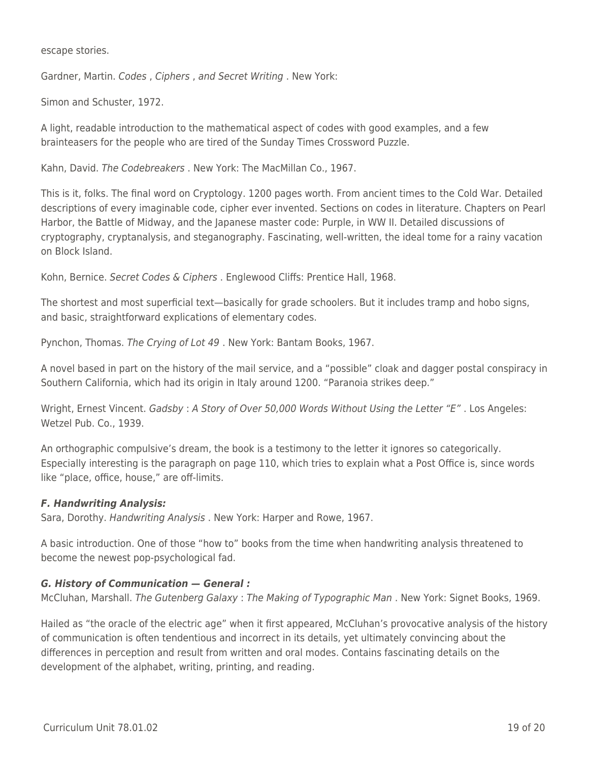escape stories.

Gardner, Martin. Codes , Ciphers , and Secret Writing . New York:

Simon and Schuster, 1972.

A light, readable introduction to the mathematical aspect of codes with good examples, and a few brainteasers for the people who are tired of the Sunday Times Crossword Puzzle.

Kahn, David. The Codebreakers . New York: The MacMillan Co., 1967.

This is it, folks. The final word on Cryptology. 1200 pages worth. From ancient times to the Cold War. Detailed descriptions of every imaginable code, cipher ever invented. Sections on codes in literature. Chapters on Pearl Harbor, the Battle of Midway, and the Japanese master code: Purple, in WW II. Detailed discussions of cryptography, cryptanalysis, and steganography. Fascinating, well-written, the ideal tome for a rainy vacation on Block Island.

Kohn, Bernice. Secret Codes & Ciphers . Englewood Cliffs: Prentice Hall, 1968.

The shortest and most superficial text—basically for grade schoolers. But it includes tramp and hobo signs, and basic, straightforward explications of elementary codes.

Pynchon, Thomas. The Crying of Lot 49 . New York: Bantam Books, 1967.

A novel based in part on the history of the mail service, and a "possible" cloak and dagger postal conspiracy in Southern California, which had its origin in Italy around 1200. "Paranoia strikes deep."

Wright, Ernest Vincent. Gadsby: A Story of Over 50,000 Words Without Using the Letter "E". Los Angeles: Wetzel Pub. Co., 1939.

An orthographic compulsive's dream, the book is a testimony to the letter it ignores so categorically. Especially interesting is the paragraph on page 110, which tries to explain what a Post Office is, since words like "place, office, house," are off-limits.

## *F. Handwriting Analysis:*

Sara, Dorothy. Handwriting Analysis . New York: Harper and Rowe, 1967.

A basic introduction. One of those "how to" books from the time when handwriting analysis threatened to become the newest pop-psychological fad.

## *G. History of Communication — General :*

McCluhan, Marshall. The Gutenberg Galaxy: The Making of Typographic Man. New York: Signet Books, 1969.

Hailed as "the oracle of the electric age" when it first appeared, McCluhan's provocative analysis of the history of communication is often tendentious and incorrect in its details, yet ultimately convincing about the differences in perception and result from written and oral modes. Contains fascinating details on the development of the alphabet, writing, printing, and reading.